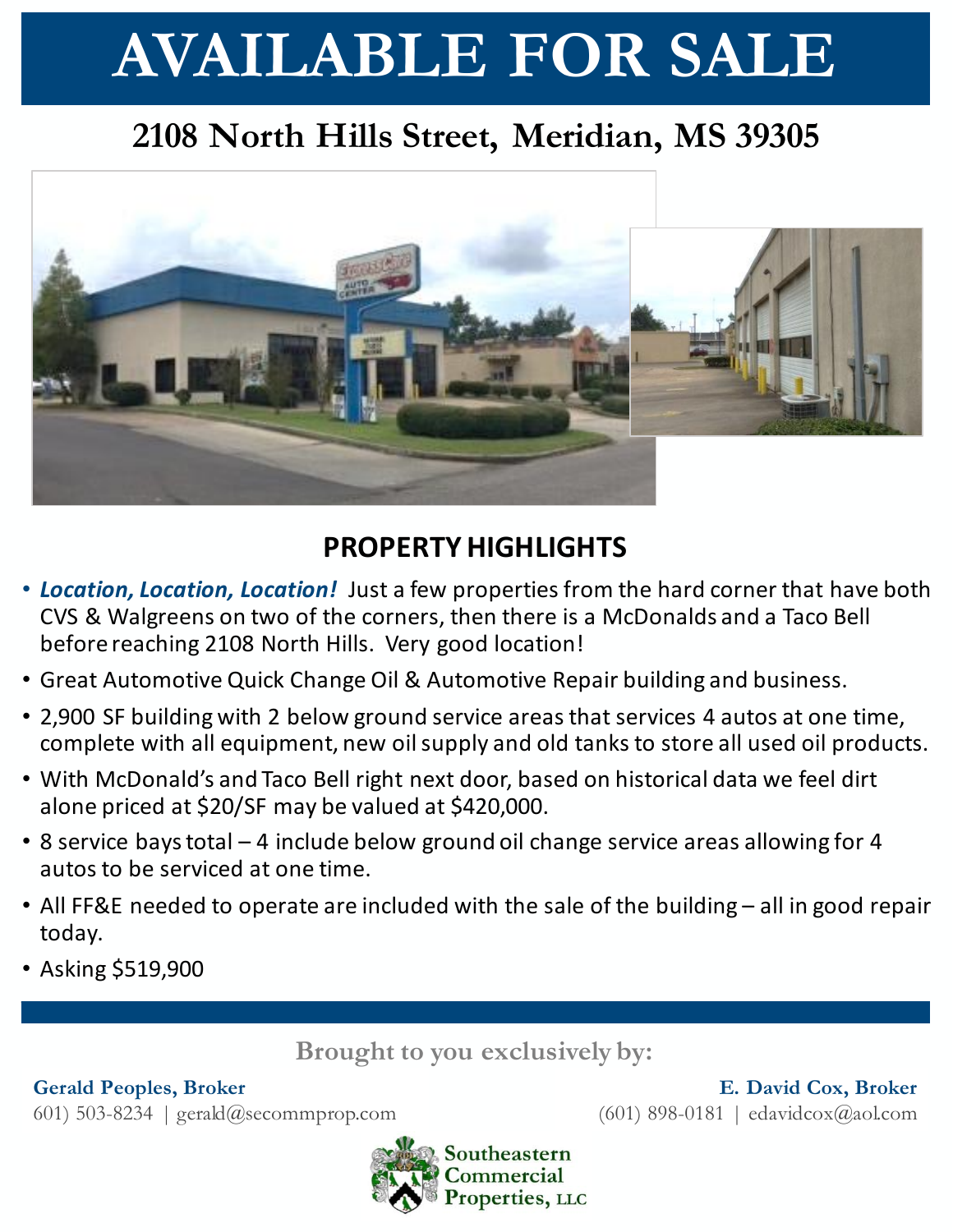# **AVAILABLE FOR SALE**

## **2108 North Hills Street, Meridian, MS 39305**



### **PROPERTY HIGHLIGHTS**

- *Location, Location, Location!* Just a few properties from the hard corner that have both CVS & Walgreens on two of the corners, then there is a McDonalds and a Taco Bell before reaching 2108 North Hills. Very good location!
- Great Automotive Quick Change Oil & Automotive Repair building and business.
- 2,900 SF building with 2 below ground service areas that services 4 autos at one time, complete with all equipment, new oil supply and old tanks to store all used oil products.
- With McDonald's and Taco Bell right next door, based on historical data we feel dirt alone priced at \$20/SF may be valued at \$420,000.
- 8 service bays total 4 include below ground oil change service areas allowing for 4 autos to be serviced at one time.
- All FF&E needed to operate are included with the sale of the building all in good repair today.
- Asking \$519,900

**Brought to you exclusively by:**

#### **Gerald Peoples, Broker**

601) 503-8234 | gerald@secommprop.com



**E. David Cox, Broker** (601) 898-0181 | edavidcox@aol.com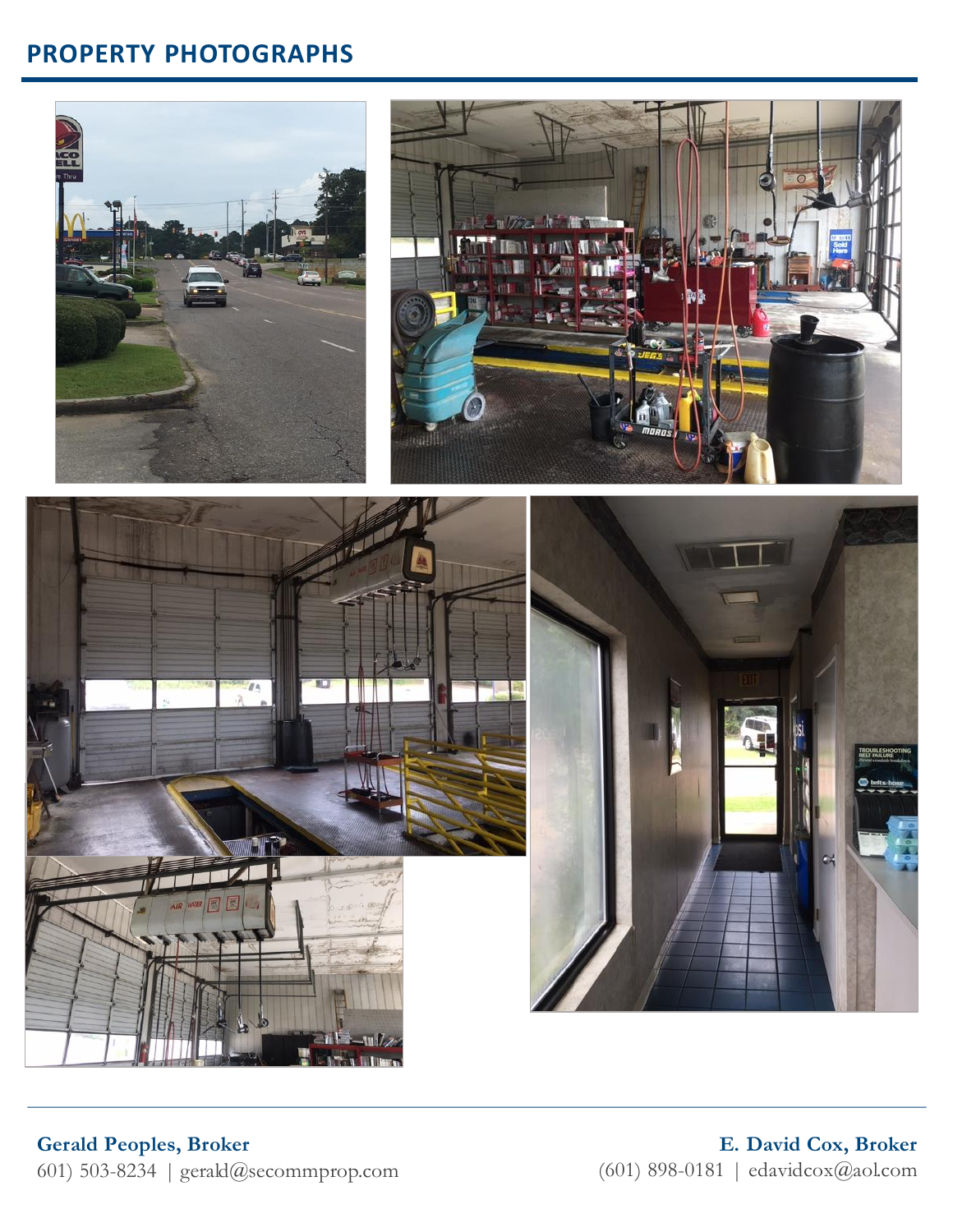#### **PROPERTY PHOTOGRAPHS**









**E. David Cox, Broker** (601) 898-0181 | edavidcox@aol.com